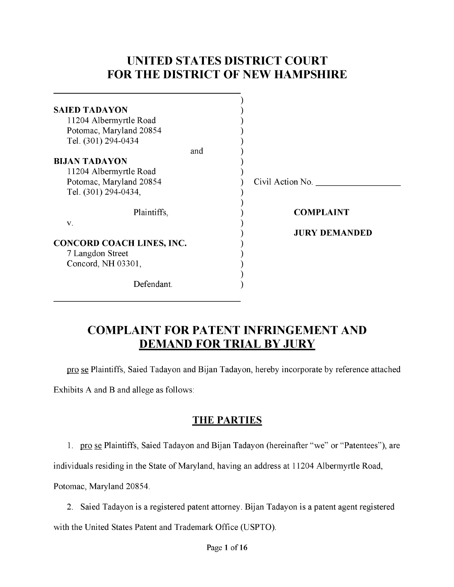# **UNITED STATES DISTRICT COURT FOR THE DISTRICT OF NEW HAMPSHIRE**

| <b>SAIED TADAYON</b>             |                      |
|----------------------------------|----------------------|
| 11204 Albermyrtle Road           |                      |
| Potomac, Maryland 20854          |                      |
| Tel. (301) 294-0434              |                      |
| and                              |                      |
| <b>BIJAN TADAYON</b>             |                      |
| 11204 Albermyrtle Road           |                      |
| Potomac, Maryland 20854          | Civil Action No.     |
| Tel. (301) 294-0434,             |                      |
| Plaintiffs,                      | <b>COMPLAINT</b>     |
| $V$ .                            |                      |
|                                  | <b>JURY DEMANDED</b> |
| <b>CONCORD COACH LINES, INC.</b> |                      |
| 7 Langdon Street                 |                      |
| Concord, NH 03301,               |                      |
|                                  |                      |
| Defendant.                       |                      |
|                                  |                      |

# **COMPLAINT FOR PATENT INFRINGEMENT AND DEMAND FOR TRIAL BY JURY**

pro se Plaintiffs, Saied Tadayon and Bijan Tadayon, hereby incorporate by reference attached

Exhibits A and B and allege as follows:

## **THE PARTIES**

1. pro se Plaintiffs, Saied Tadayon and Bijan Tadayon (hereinafter "we" or "Patentees"), are

individuals residing in the State of Maryland, having an address at 11204 Albermyrtle Road,

Potomac, Maryland 20854.

2. Saied Tadayon is a registered patent attorney. Bijan Tadayon is a patent agent registered with the United States Patent and Trademark Office (USPTO).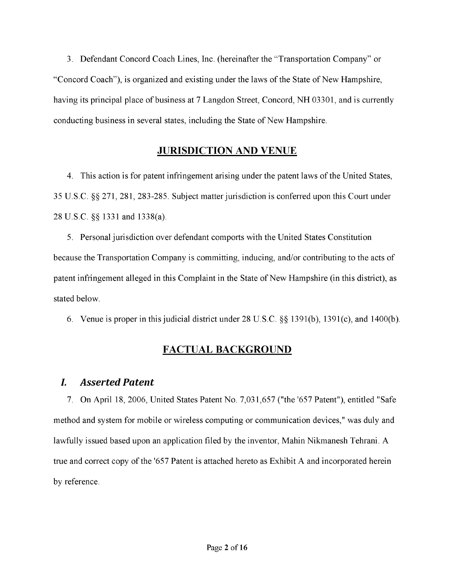3. Defendant Concord Coach Lines, Inc. (hereinafter the "Transportation Company" or "Concord Coach"), is organized and existing under the laws of the State of New Hampshire, having its principal place of business at 7 Langdon Street, Concord, NH 03301, and is currently conducting business in several states, including the State of New Hampshire.

### **JURISDICTION AND VENUE**

4. This action is for patent infringement arising under the patent laws of the United States, 35 U.S.C. §§ 271, 281, 283-285. Subject matter jurisdiction is conferred upon this Court under 28 U.S.C. §§ 1331 and 1338(a).

5. Personal jurisdiction over defendant comports with the United States Constitution because the Transportation Company is committing, inducing, and/or contributing to the acts of patent infringement alleged in this Complaint in the State of New Hampshire (in this district), as stated below.

6. Venue is proper in this judicial district under 28 U.S.C. §§ 1391(b), 1391(c), and 1400(b).

## **FACTUAL BACKGROUND**

### *I. Asserted Patent*

7. On April 18, 2006, United States Patent No. 7,031,657 ("the '657 Patent"), entitled "Safe method and system for mobile or wireless computing or communication devices," was duly and lawfully issued based upon an application filed by the inventor, Mahin Nikmanesh Tehrani. A true and correct copy of the '657 Patent is attached hereto as Exhibit A and incorporated herein by reference.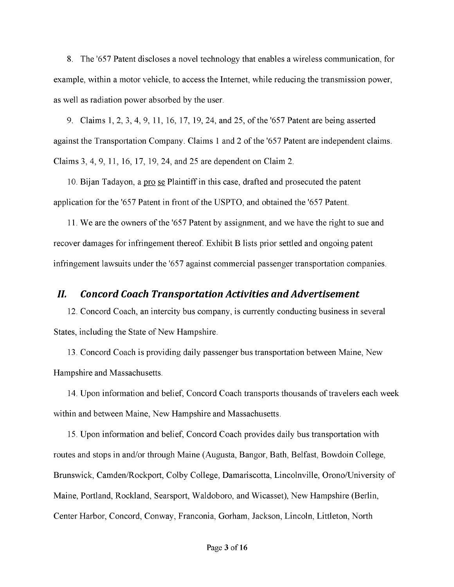8. The '657 Patent discloses a novel technology that enables a wireless communication, for example, within a motor vehicle, to access the Internet, while reducing the transmission power, as well as radiation power absorbed by the user.

9. Claims 1, 2, 3, 4, 9, 11, 16, 17, 19, 24, and 25, of the '657 Patent are being asserted against the Transportation Company. Claims 1 and 2 of the '657 Patent are independent claims. Claims 3, 4, 9, 11, 16, 17, 19, 24, and 25 are dependent on Claim 2.

10. Bijan Tadayon, a pro se Plaintiff in this case, drafted and prosecuted the patent application for the '657 Patent in front of the USPTO, and obtained the '657 Patent.

11. We are the owners of the '657 Patent by assignment, and we have the right to sue and recover damages for infringement thereof. Exhibit B lists prior settled and ongoing patent infringement lawsuits under the '657 against commercial passenger transportation companies.

#### *II. Concord Coach Transportation Activities and Advertisement*

12. Concord Coach, an intercity bus company, is currently conducting business in several States, including the State of New Hampshire.

13. Concord Coach is providing daily passenger bus transportation between Maine, New Hampshire and Massachusetts.

14. Upon information and belief, Concord Coach transports thousands of travelers each week within and between Maine, New Hampshire and Massachusetts.

15. Upon information and belief, Concord Coach provides daily bus transportation with routes and stops in and/or through Maine (Augusta, Bangor, Bath, Belfast, Bowdoin College, Brunswick, Camden/Rockport, Colby College, Damariscotta, Lincolnville, Orono/University of Maine, Portland, Rockland, Searsport, Waldoboro, and Wicasset), New Hampshire (Berlin, Center Harbor, Concord, Conway, Franconia, Gorham, Jackson, Lincoln, Littleton, North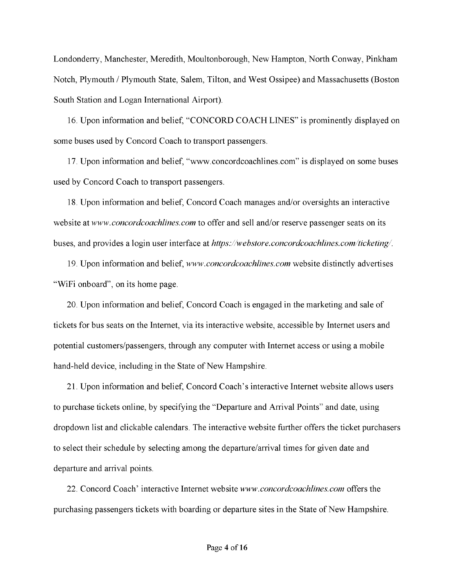Londonderry, Manchester, Meredith, Moultonborough, New Hampton, North Conway, Pinkham Notch, Plymouth / Plymouth State, Salem, Tilton, and West Ossipee) and Massachusetts (Boston South Station and Logan International Airport).

16. Upon information and belief, "CONCORD COACH LINES" is prominently displayed on some buses used by Concord Coach to transport passengers.

17. Upon information and belief, ["www.concordcoachlines.com" i](http://www.concordcoachlines.com)s displayed on some buses used by Concord Coach to transport passengers.

18. Upon information and belief, Concord Coach manages and/or oversights an interactive website at *[www.concordcoachlines.com](http://www.concordcoachlines.com)* to offer and sell and/or reserve passenger seats on its buses, and provides a login user interface at *<https://webstore.concordcoachlines.com/ticketing/>*.

19. Upon information and belief, *[www.concordcoachlines.com](http://www.concordcoachlines.com)* website distinctly advertises "WiFi onboard", on its home page.

20. Upon information and belief, Concord Coach is engaged in the marketing and sale of tickets for bus seats on the Internet, via its interactive website, accessible by Internet users and potential customers/passengers, through any computer with Internet access or using a mobile hand-held device, including in the State of New Hampshire.

21. Upon information and belief, Concord Coach's interactive Internet website allows users to purchase tickets online, by specifying the "Departure and Arrival Points" and date, using dropdown list and clickable calendars. The interactive website further offers the ticket purchasers to select their schedule by selecting among the departure/arrival times for given date and departure and arrival points.

22. Concord Coach' interactive Internet website *[www.concordcoachlines.com](http://www.concordcoachlines.com)* offers the purchasing passengers tickets with boarding or departure sites in the State of New Hampshire.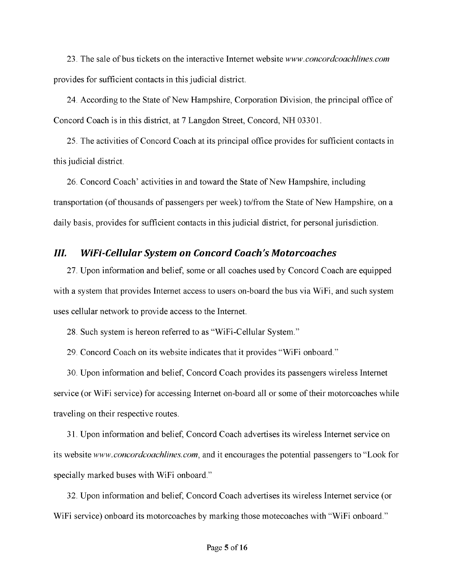23. The sale of bus tickets on the interactive Internet website *[www.concordcoachlines.com](http://www.concordcoachlines.com)*  provides for sufficient contacts in this judicial district.

24. According to the State of New Hampshire, Corporation Division, the principal office of Concord Coach is in this district, at 7 Langdon Street, Concord, NH 03301.

25. The activities of Concord Coach at its principal office provides for sufficient contacts in this judicial district.

26. Concord Coach' activities in and toward the State of New Hampshire, including transportation (of thousands of passengers per week) to/from the State of New Hampshire, on a daily basis, provides for sufficient contacts in this judicial district, for personal jurisdiction.

### *III. WiFi-Cellular System on Concord Coach's Motorcoaches*

27. Upon information and belief, some or all coaches used by Concord Coach are equipped with a system that provides Internet access to users on-board the bus via WiFi, and such system uses cellular network to provide access to the Internet.

28. Such system is hereon referred to as "WiFi-Cellular System."

29. Concord Coach on its website indicates that it provides "WiFi onboard."

30. Upon information and belief, Concord Coach provides its passengers wireless Internet service (or WiFi service) for accessing Internet on-board all or some of their motorcoaches while traveling on their respective routes.

31. Upon information and belief, Concord Coach advertises its wireless Internet service on its website *[www.concordcoachlines.com](http://www.concordcoachlines.com)*, and it encourages the potential passengers to "Look for specially marked buses with WiFi onboard."

32. Upon information and belief, Concord Coach advertises its wireless Internet service (or WiFi service) onboard its motorcoaches by marking those motecoaches with "WiFi onboard."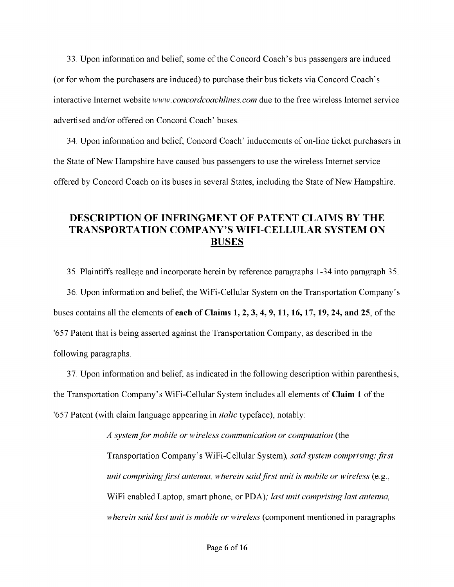33. Upon information and belief, some of the Concord Coach's bus passengers are induced (or for whom the purchasers are induced) to purchase their bus tickets via Concord Coach's interactive Internet website *[www.concordcoachlines.com](http://www.concordcoachlines.com)* due to the free wireless Internet service advertised and/or offered on Concord Coach' buses.

34. Upon information and belief, Concord Coach' inducements of on-line ticket purchasers in the State of New Hampshire have caused bus passengers to use the wireless Internet service offered by Concord Coach on its buses in several States, including the State of New Hampshire.

### **DESCRIPTION OF INFRINGMENT OF PATENT CLAIMS BY THE TRANSPORTATION COMPANY'S WIFI-CELLULAR SYSTEM ON BUSES**

35. Plaintiffs reallege and incorporate herein by reference paragraphs 1-34 into paragraph 35.

36. Upon information and belief, the WiFi-Cellular System on the Transportation Company's buses contains all the elements of **each** of **Claims 1, 2, 3, 4, 9, 11, 16, 17, 19, 24, and 25**, of the '657 Patent that is being asserted against the Transportation Company, as described in the following paragraphs.

37. Upon information and belief, as indicated in the following description within parenthesis, the Transportation Company's WiFi-Cellular System includes all elements of **Claim 1** of the '657 Patent (with claim language appearing in *italic* typeface), notably:

> *A system for mobile or wireless communication or computation* (the Transportation Company's WiFi-Cellular System)*, said system comprising: first unit comprising first antenna, wherein said first unit is mobile or wireless* (e.g., WiFi enabled Laptop, smart phone, or PDA)*; last unit comprising last antenna, wherein said last unit is mobile or wireless* (component mentioned in paragraphs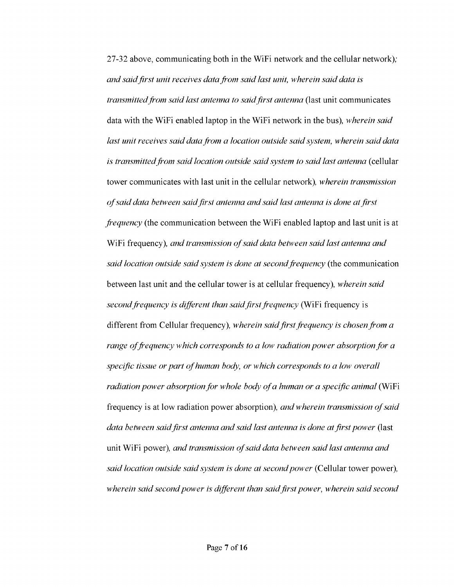27-32 above, communicating both in the WiFi network and the cellular network)*; and said first unit receives data from said last unit, wherein said data is transmitted from said last antenna to said first antenna* (last unit communicates data with the WiFi enabled laptop in the WiFi network in the bus)*, wherein said last unit receives said data from a location outside said system, wherein said data is transmitted from said location outside said system to said last antenna* (cellular tower communicates with last unit in the cellular network)*, wherein transmission of said data between said first antenna and said last antenna is done at first frequency* (the communication between the WiFi enabled laptop and last unit is at WiFi frequency)*, and transmission of said data between said last antenna and said location outside said system is done at second frequency* (the communication between last unit and the cellular tower is at cellular frequency)*, wherein said second frequency is different than said first frequency* (WiFi frequency is different from Cellular frequency)*, wherein said first frequency is chosen from a range of frequency which corresponds to a low radiation power absorption for a specific tissue or part of human body, or which corresponds to a low overall radiation power absorption for whole body of a human or a specific animal* (WiFi frequency is at low radiation power absorption)*, and wherein transmission of said data between said first antenna and said last antenna is done at first power* (last unit WiFi power)*, and transmission of said data between said last antenna and said location outside said system is done at second power* (Cellular tower power)*, wherein said second power is different than said first power, wherein said second*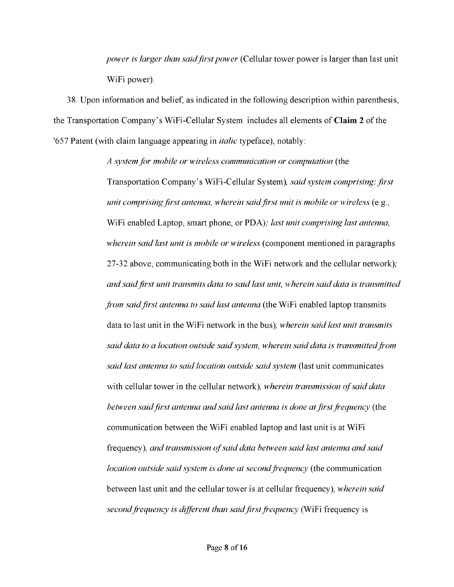*power is larger than said first power* (Cellular tower power is larger than last unit WiFi power).

38. Upon information and belief, as indicated in the following description within parenthesis, the Transportation Company's WiFi-Cellular System includes all elements of **Claim 2** of the '657 Patent (with claim language appearing in *italic* typeface), notably:

> *A system for mobile or wireless communication or computation* (the Transportation Company's WiFi-Cellular System)*, said system comprising: first unit comprising first antenna, wherein said first unit is mobile or wireless* (e.g., WiFi enabled Laptop, smart phone, or PDA)*; last unit comprising last antenna, wherein said last unit is mobile or wireless* (component mentioned in paragraphs 27-32 above, communicating both in the WiFi network and the cellular network)*; and said first unit transmits data to said last unit, wherein said data is transmitted from said first antenna to said last antenna* (the WiFi enabled laptop transmits data to last unit in the WiFi network in the bus)*, wherein said last unit transmits said data to a location outside said system, wherein said data is transmitted from said last antenna to said location outside said system* (last unit communicates with cellular tower in the cellular network)*, wherein transmission of said data between said first antenna and said last antenna is done at first frequency* (the communication between the WiFi enabled laptop and last unit is at WiFi frequency)*, and transmission of said data between said last antenna and said location outside said system is done at second frequency* (the communication between last unit and the cellular tower is at cellular frequency)*, wherein said second frequency is different than said first frequency* (WiFi frequency is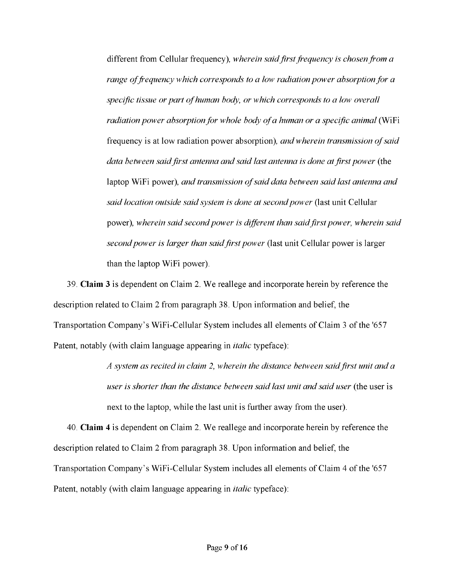different from Cellular frequency)*, wherein said first frequency is chosen from a range of frequency which corresponds to a low radiation power absorption for a specific tissue or part of human body, or which corresponds to a low overall radiation power absorption for whole body of a human or a specific animal* (WiFi frequency is at low radiation power absorption)*, and wherein transmission of said data between said first antenna and said last antenna is done at first power* (the laptop WiFi power)*, and transmission of said data between said last antenna and said location outside said system is done at second power* (last unit Cellular power)*, wherein said second power is different than said first power, wherein said second power is larger than said first power* (last unit Cellular power is larger than the laptop WiFi power).

39. **Claim 3** is dependent on Claim 2. We reallege and incorporate herein by reference the description related to Claim 2 from paragraph 38. Upon information and belief, the Transportation Company's WiFi-Cellular System includes all elements of Claim 3 of the '657 Patent, notably (with claim language appearing in *italic* typeface):

> *A system as recited in claim 2, wherein the distance between said first unit and a user is shorter than the distance between said last unit and said user* (the user is next to the laptop, while the last unit is further away from the user).

40. **Claim 4** is dependent on Claim 2. We reallege and incorporate herein by reference the description related to Claim 2 from paragraph 38. Upon information and belief, the Transportation Company's WiFi-Cellular System includes all elements of Claim 4 of the '657 Patent, notably (with claim language appearing in *italic* typeface):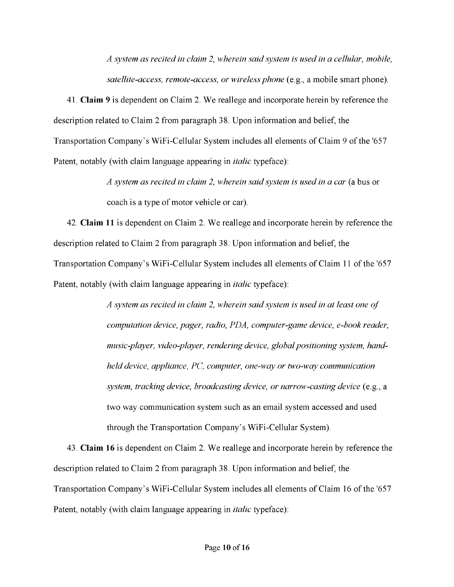*A system as recited in claim 2, wherein said system is used in a cellular, mobile, satellite-access, remote-access, or wireless phone* (e.g., a mobile smart phone).

41. **Claim 9** is dependent on Claim 2. We reallege and incorporate herein by reference the description related to Claim 2 from paragraph 38. Upon information and belief, the Transportation Company's WiFi-Cellular System includes all elements of Claim 9 of the '657 Patent, notably (with claim language appearing in *italic* typeface):

> *A system as recited in claim 2, wherein said system is used in a car* (a bus or coach is a type of motor vehicle or car).

42. **Claim 11** is dependent on Claim 2. We reallege and incorporate herein by reference the description related to Claim 2 from paragraph 38. Upon information and belief, the Transportation Company's WiFi-Cellular System includes all elements of Claim 11 of the '657 Patent, notably (with claim language appearing in *italic* typeface):

> *A system as recited in claim 2, wherein said system is used in at least one of computation device, pager, radio, PDA, computer-game device, e-book reader, music-player, video-player, rendering device, global positioning system, handheld device, appliance, PC, computer, one-way or two-way communication system, tracking device, broadcasting device, or narrow-casting device* (e.g., a two way communication system such as an email system accessed and used through the Transportation Company's WiFi-Cellular System).

43. **Claim 16** is dependent on Claim 2. We reallege and incorporate herein by reference the description related to Claim 2 from paragraph 38. Upon information and belief, the Transportation Company's WiFi-Cellular System includes all elements of Claim 16 of the '657 Patent, notably (with claim language appearing in *italic* typeface):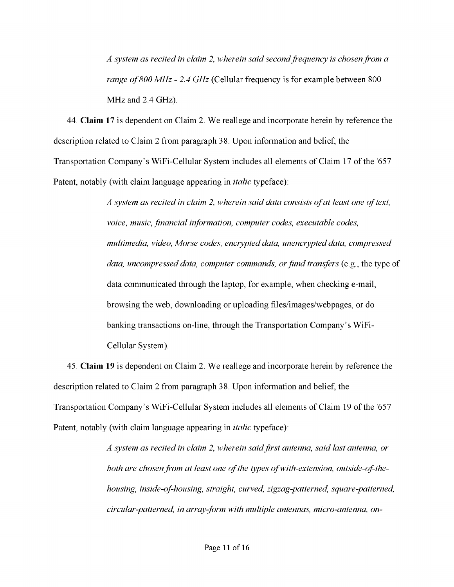*A system as recited in claim 2, wherein said second frequency is chosen from a range of 800 MHz - 2.4 GHz* (Cellular frequency is for example between 800 MHz and 2.4 GHz).

44. **Claim 17** is dependent on Claim 2. We reallege and incorporate herein by reference the description related to Claim 2 from paragraph 38. Upon information and belief, the Transportation Company's WiFi-Cellular System includes all elements of Claim 17 of the '657 Patent, notably (with claim language appearing in *italic* typeface):

> *A system as recited in claim 2, wherein said data consists of at least one of text, voice, music, financial information, computer codes, executable codes, multimedia, video, Morse codes, encrypted data, unencrypted data, compressed data, uncompressed data, computer commands, or fund transfers* (e.g., the type of data communicated through the laptop, for example, when checking e-mail, browsing the web, downloading or uploading files/images/webpages, or do banking transactions on-line, through the Transportation Company's WiFi-Cellular System).

45. **Claim 19** is dependent on Claim 2. We reallege and incorporate herein by reference the description related to Claim 2 from paragraph 38. Upon information and belief, the Transportation Company's WiFi-Cellular System includes all elements of Claim 19 of the '657 Patent, notably (with claim language appearing in *italic* typeface):

> *A system as recited in claim 2, wherein said first antenna, said last antenna, or both are chosen from at least one of the types of with-extension, outside-of-thehousing, inside-of-housing, straight, curved, zigzag-patterned, square-patterned, circular-patterned, in array-form with multiple antennas, micro-antenna, on-*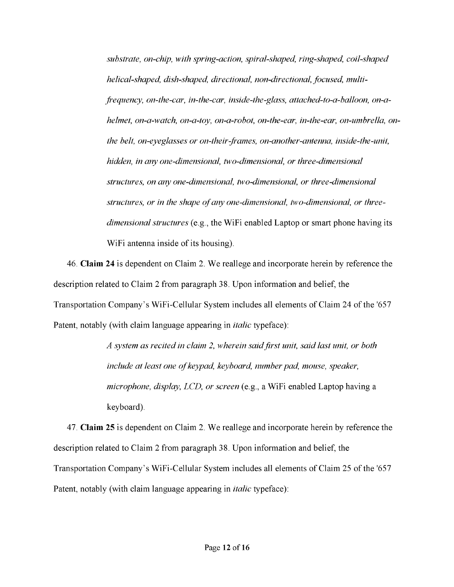*substrate, on-chip, with spring-action, spiral-shaped, ring-shaped, coil-shaped helical-shaped, dish-shaped, directional, non-directional, focused, multifrequency, on-the-car, in-the-car, inside-the-glass, attached-to-a-balloon, on-ahelmet, on-a-watch, on-a-toy, on-a-robot, on-the-ear, in-the-ear, on-umbrella, onthe belt, on-eyeglasses or on-their-frames, on-another-antenna, inside-the-unit, hidden, in any one-dimensional, two-dimensional, or three-dimensional structures, on any one-dimensional, two-dimensional, or three-dimensional structures, or in the shape of any one-dimensional, two-dimensional, or threedimensional structures* (e.g., the WiFi enabled Laptop or smart phone having its WiFi antenna inside of its housing).

46. **Claim 24** is dependent on Claim 2. We reallege and incorporate herein by reference the description related to Claim 2 from paragraph 38. Upon information and belief, the Transportation Company's WiFi-Cellular System includes all elements of Claim 24 of the '657 Patent, notably (with claim language appearing in *italic* typeface):

> *A system as recited in claim 2, wherein said first unit, said last unit, or both include at least one of keypad, keyboard, number pad, mouse, speaker, microphone, display, LCD, or screen* (e.g., a WiFi enabled Laptop having a keyboard).

47. **Claim 25** is dependent on Claim 2. We reallege and incorporate herein by reference the description related to Claim 2 from paragraph 38. Upon information and belief, the Transportation Company's WiFi-Cellular System includes all elements of Claim 25 of the '657 Patent, notably (with claim language appearing in *italic* typeface):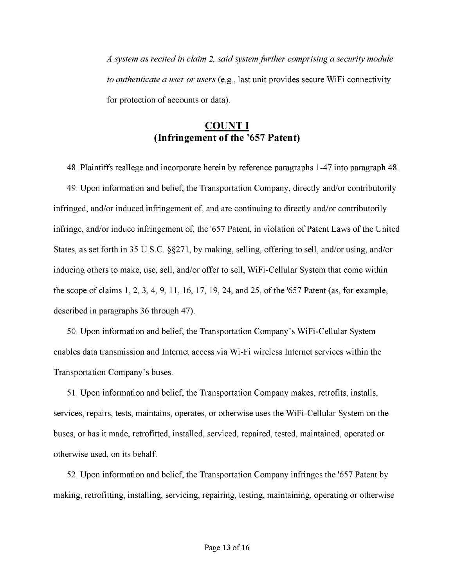*A system as recited in claim 2, said system further comprising a security module to authenticate a user or users* (e.g., last unit provides secure WiFi connectivity for protection of accounts or data).

### **COUNT I (Infringement of the '657 Patent)**

48. Plaintiffs reallege and incorporate herein by reference paragraphs 1-47 into paragraph 48. 49. Upon information and belief, the Transportation Company, directly and/or contributorily infringed, and/or induced infringement of, and are continuing to directly and/or contributorily infringe, and/or induce infringement of, the '657 Patent, in violation of Patent Laws of the United States, as set forth in 35 U.S.C. §§271, by making, selling, offering to sell, and/or using, and/or inducing others to make, use, sell, and/or offer to sell, WiFi-Cellular System that come within the scope of claims 1, 2, 3, 4, 9, 11, 16, 17, 19, 24, and 25, of the '657 Patent (as, for example, described in paragraphs 36 through 47).

50. Upon information and belief, the Transportation Company's WiFi-Cellular System enables data transmission and Internet access via Wi-Fi wireless Internet services within the Transportation Company's buses.

51. Upon information and belief, the Transportation Company makes, retrofits, installs, services, repairs, tests, maintains, operates, or otherwise uses the WiFi-Cellular System on the buses, or has it made, retrofitted, installed, serviced, repaired, tested, maintained, operated or otherwise used, on its behalf.

52. Upon information and belief, the Transportation Company infringes the '657 Patent by making, retrofitting, installing, servicing, repairing, testing, maintaining, operating or otherwise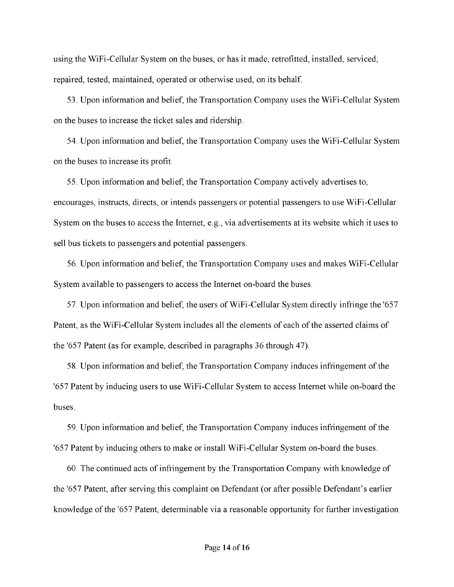using the WiFi-Cellular System on the buses, or has it made, retrofitted, installed, serviced, repaired, tested, maintained, operated or otherwise used, on its behalf.

53. Upon information and belief, the Transportation Company uses the WiFi-Cellular System on the buses to increase the ticket sales and ridership.

54. Upon information and belief, the Transportation Company uses the WiFi-Cellular System on the buses to increase its profit.

55. Upon information and belief, the Transportation Company actively advertises to, encourages, instructs, directs, or intends passengers or potential passengers to use WiFi-Cellular System on the buses to access the Internet, e.g., via advertisements at its website which it uses to sell bus tickets to passengers and potential passengers.

56. Upon information and belief, the Transportation Company uses and makes WiFi-Cellular System available to passengers to access the Internet on-board the buses.

57. Upon information and belief, the users of WiFi-Cellular System directly infringe the '657 Patent, as the WiFi-Cellular System includes all the elements of each of the asserted claims of the '657 Patent (as for example, described in paragraphs 36 through 47).

58. Upon information and belief, the Transportation Company induces infringement of the '657 Patent by inducing users to use WiFi-Cellular System to access Internet while on-board the buses.

59. Upon information and belief, the Transportation Company induces infringement of the '657 Patent by inducing others to make or install WiFi-Cellular System on-board the buses.

60. The continued acts of infringement by the Transportation Company with knowledge of the '657 Patent, after serving this complaint on Defendant (or after possible Defendant's earlier knowledge of the '657 Patent, determinable via a reasonable opportunity for further investigation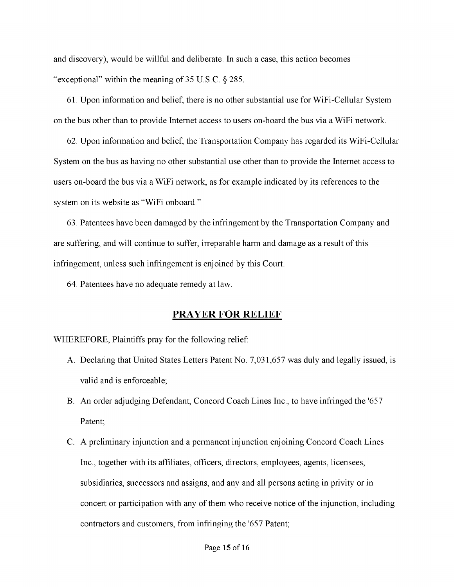and discovery), would be willful and deliberate. In such a case, this action becomes "exceptional" within the meaning of 35 U.S.C. § 285.

61. Upon information and belief, there is no other substantial use for WiFi-Cellular System on the bus other than to provide Internet access to users on-board the bus via a WiFi network.

62. Upon information and belief, the Transportation Company has regarded its WiFi-Cellular System on the bus as having no other substantial use other than to provide the Internet access to users on-board the bus via a WiFi network, as for example indicated by its references to the system on its website as "WiFi onboard."

63. Patentees have been damaged by the infringement by the Transportation Company and are suffering, and will continue to suffer, irreparable harm and damage as a result of this infringement, unless such infringement is enjoined by this Court.

64. Patentees have no adequate remedy at law.

### **PRAYER FOR RELIEF**

WHEREFORE, Plaintiffs pray for the following relief:

- A. Declaring that United States Letters Patent No. 7,031,657 was duly and legally issued, is valid and is enforceable;
- B. An order adjudging Defendant, Concord Coach Lines Inc., to have infringed the '657 Patent;
- C. A preliminary injunction and a permanent injunction enjoining Concord Coach Lines Inc., together with its affiliates, officers, directors, employees, agents, licensees, subsidiaries, successors and assigns, and any and all persons acting in privity or in concert or participation with any of them who receive notice of the injunction, including contractors and customers, from infringing the '657 Patent;